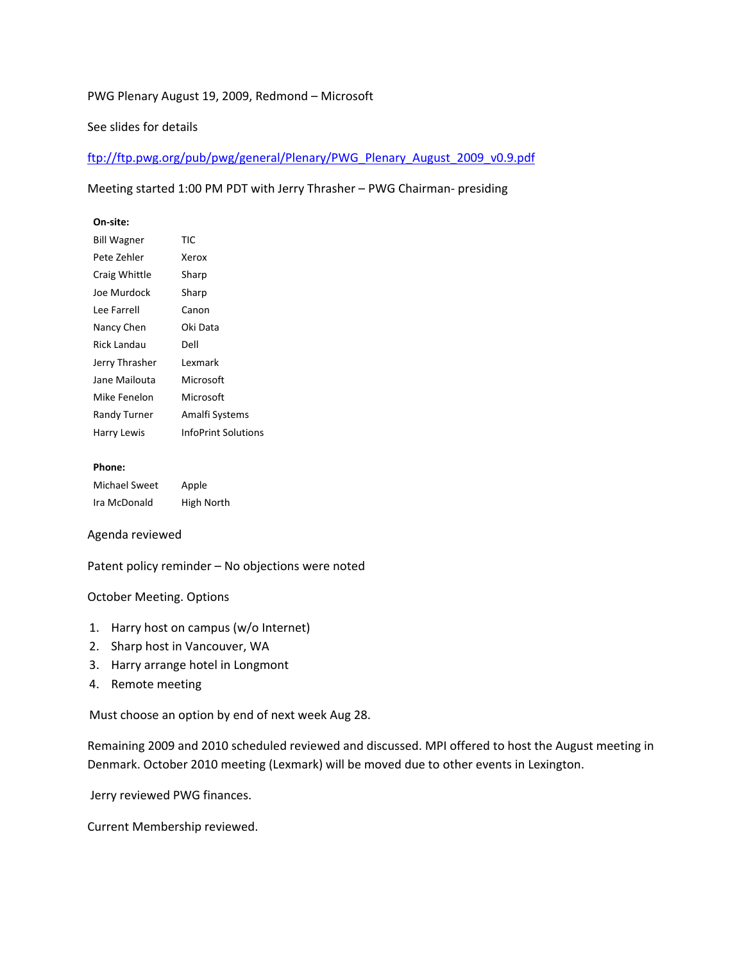# PWG Plenary August 19, 2009, Redmond – Microsoft

# See slides for details

ftp://ftp.pwg.org/pub/pwg/general/Plenary/PWG\_Plenary\_August\_2009\_v0.9.pdf

## Meeting started 1:00 PM PDT with Jerry Thrasher – PWG Chairman- presiding

## **On-site:**

| <b>Bill Wagner</b> | TIC                        |
|--------------------|----------------------------|
| Pete Zehler        | Xerox                      |
| Craig Whittle      | Sharp                      |
| Joe Murdock        | Sharp                      |
| Lee Farrell        | Canon                      |
| Nancy Chen         | Oki Data                   |
| Rick Landau        | Dell                       |
| Jerry Thrasher     | Lexmark                    |
| Jane Mailouta      | Microsoft                  |
| Mike Fenelon       | Microsoft                  |
| Randy Turner       | Amalfi Systems             |
| Harry Lewis        | <b>InfoPrint Solutions</b> |

#### **Phone:**

| Michael Sweet | Apple      |
|---------------|------------|
| Ira McDonald  | High North |

#### Agenda reviewed

Patent policy reminder – No objections were noted

#### October Meeting. Options

- 1. Harry host on campus (w/o Internet)
- 2. Sharp host in Vancouver, WA
- 3. Harry arrange hotel in Longmont
- 4. Remote meeting

Must choose an option by end of next week Aug 28.

Remaining 2009 and 2010 scheduled reviewed and discussed. MPI offered to host the August meeting in Denmark. October 2010 meeting (Lexmark) will be moved due to other events in Lexington.

Jerry reviewed PWG finances.

Current Membership reviewed.